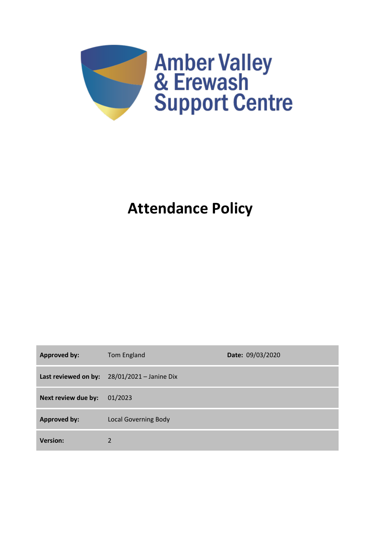

# **Attendance Policy**

| <b>Approved by:</b> | Tom England                                    | Date: 09/03/2020 |
|---------------------|------------------------------------------------|------------------|
|                     | Last reviewed on by: $28/01/2021 -$ Janine Dix |                  |
| Next review due by: | 01/2023                                        |                  |
| <b>Approved by:</b> | <b>Local Governing Body</b>                    |                  |
| <b>Version:</b>     | $\overline{2}$                                 |                  |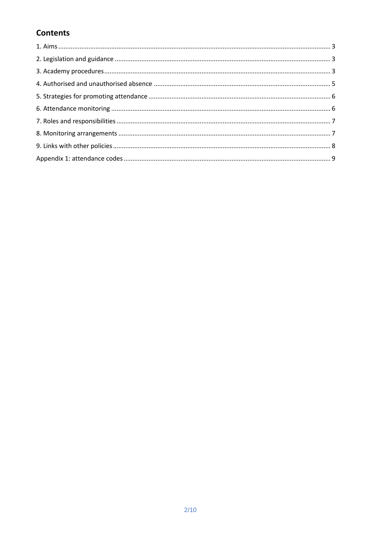## **Contents**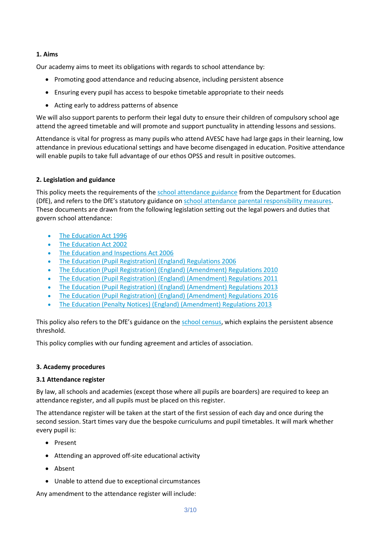## **1. Aims**

Our academy aims to meet its obligations with regards to school attendance by:

- Promoting good attendance and reducing absence, including persistent absence
- Ensuring every pupil has access to bespoke timetable appropriate to their needs
- Acting early to address patterns of absence

We will also support parents to perform their legal duty to ensure their children of compulsory school age attend the agreed timetable and will promote and support punctuality in attending lessons and sessions.

Attendance is vital for progress as many pupils who attend AVESC have had large gaps in their learning, low attendance in previous educational settings and have become disengaged in education. Positive attendance will enable pupils to take full advantage of our ethos OPSS and result in positive outcomes.

## **2. Legislation and guidance**

This policy meets the requirements of the [school attendance guidance](https://www.gov.uk/government/publications/school-attendance) from the Department for Education (DfE), and refers to the DfE's statutory guidance on [school attendance parental responsibility measures.](https://www.gov.uk/government/publications/parental-responsibility-measures-for-behaviour-and-attendance) These documents are drawn from the following legislation setting out the legal powers and duties that govern school attendance:

- [The Education Act 1996](https://www.legislation.gov.uk/ukpga/1996/56/part/VI/chapter/II)
- [The Education Act 2002](http://www.legislation.gov.uk/ukpga/2002/32/part/3/chapter/3)
- [The Education and Inspections Act 2006](http://www.legislation.gov.uk/ukpga/2006/40/part/7/chapter/2/crossheading/school-attendance)
- [The Education \(Pupil Registration\) \(England\) Regulations 2006](http://www.legislation.gov.uk/uksi/2006/1751/contents/made)
- [The Education \(Pupil Registration\) \(England\) \(Amendment\) Regulations 2010](http://www.centralbedfordshire.gov.uk/Images/amendment-regulation-2010_tcm3-8642.pdf)
- [The Education \(Pupil Registration\) \(England\) \(Amendment\) Regulations 2011](http://www.legislation.gov.uk/uksi/2011/1625/made)
- [The Education \(Pupil Registration\) \(England\) \(Amendment\) Regulations 2013](http://www.legislation.gov.uk/uksi/2013/756/made)
- [The Education \(Pupil Registration\) \(England\) \(Amendment\) Regulations 2016](http://legislation.data.gov.uk/uksi/2016/792/made/data.html)
- The [Education \(Penalty Notices\) \(England\) \(Amendment\) Regulations 2013](http://www.legislation.gov.uk/uksi/2013/756/pdfs/uksiem_20130756_en.pdf)

This policy also refers to the DfE's guidance on the [school census,](https://www.gov.uk/government/publications/school-census-2017-to-2018-guide-for-schools-and-las) which explains the persistent absence threshold.

This policy complies with our funding agreement and articles of association.

## **3. Academy procedures**

## **3.1 Attendance register**

By law, all schools and academies (except those where all pupils are boarders) are required to keep an attendance register, and all pupils must be placed on this register.

The attendance register will be taken at the start of the first session of each day and once during the second session. Start times vary due the bespoke curriculums and pupil timetables. It will mark whether every pupil is:

- Present
- Attending an approved off-site educational activity
- Absent
- Unable to attend due to exceptional circumstances

Any amendment to the attendance register will include: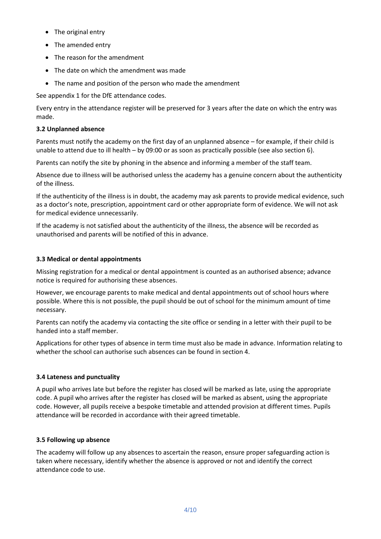- The original entry
- The amended entry
- The reason for the amendment
- The date on which the amendment was made
- The name and position of the person who made the amendment

See appendix 1 for the DfE attendance codes.

Every entry in the attendance register will be preserved for 3 years after the date on which the entry was made.

## **3.2 Unplanned absence**

Parents must notify the academy on the first day of an unplanned absence – for example, if their child is unable to attend due to ill health – by 09:00 or as soon as practically possible (see also section 6).

Parents can notify the site by phoning in the absence and informing a member of the staff team.

Absence due to illness will be authorised unless the academy has a genuine concern about the authenticity of the illness.

If the authenticity of the illness is in doubt, the academy may ask parents to provide medical evidence, such as a doctor's note, prescription, appointment card or other appropriate form of evidence. We will not ask for medical evidence unnecessarily.

If the academy is not satisfied about the authenticity of the illness, the absence will be recorded as unauthorised and parents will be notified of this in advance.

## **3.3 Medical or dental appointments**

Missing registration for a medical or dental appointment is counted as an authorised absence; advance notice is required for authorising these absences.

However, we encourage parents to make medical and dental appointments out of school hours where possible. Where this is not possible, the pupil should be out of school for the minimum amount of time necessary.

Parents can notify the academy via contacting the site office or sending in a letter with their pupil to be handed into a staff member.

Applications for other types of absence in term time must also be made in advance. Information relating to whether the school can authorise such absences can be found in section 4.

## **3.4 Lateness and punctuality**

A pupil who arrives late but before the register has closed will be marked as late, using the appropriate code. A pupil who arrives after the register has closed will be marked as absent, using the appropriate code. However, all pupils receive a bespoke timetable and attended provision at different times. Pupils attendance will be recorded in accordance with their agreed timetable.

## **3.5 Following up absence**

The academy will follow up any absences to ascertain the reason, ensure proper safeguarding action is taken where necessary, identify whether the absence is approved or not and identify the correct attendance code to use.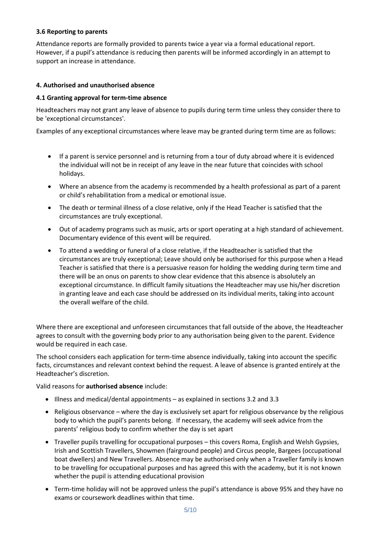## **3.6 Reporting to parents**

Attendance reports are formally provided to parents twice a year via a formal educational report. However, if a pupil's attendance is reducing then parents will be informed accordingly in an attempt to support an increase in attendance.

## **4. Authorised and unauthorised absence**

## **4.1 Granting approval for term-time absence**

Headteachers may not grant any leave of absence to pupils during term time unless they consider there to be 'exceptional circumstances'.

Examples of any exceptional circumstances where leave may be granted during term time are as follows:

- If a parent is service personnel and is returning from a tour of duty abroad where it is evidenced the individual will not be in receipt of any leave in the near future that coincides with school holidays.
- Where an absence from the academy is recommended by a health professional as part of a parent or child's rehabilitation from a medical or emotional issue.
- The death or terminal illness of a close relative, only if the Head Teacher is satisfied that the circumstances are truly exceptional.
- Out of academy programs such as music, arts or sport operating at a high standard of achievement. Documentary evidence of this event will be required.
- To attend a wedding or funeral of a close relative, if the Headteacher is satisfied that the circumstances are truly exceptional; Leave should only be authorised for this purpose when a Head Teacher is satisfied that there is a persuasive reason for holding the wedding during term time and there will be an onus on parents to show clear evidence that this absence is absolutely an exceptional circumstance. In difficult family situations the Headteacher may use his/her discretion in granting leave and each case should be addressed on its individual merits, taking into account the overall welfare of the child.

Where there are exceptional and unforeseen circumstances that fall outside of the above, the Headteacher agrees to consult with the governing body prior to any authorisation being given to the parent. Evidence would be required in each case.

The school considers each application for term-time absence individually, taking into account the specific facts, circumstances and relevant context behind the request. A leave of absence is granted entirely at the Headteacher's discretion.

## Valid reasons for **authorised absence** include:

- Illness and medical/dental appointments as explained in sections 3.2 and 3.3
- Religious observance where the day is exclusively set apart for religious observance by the religious body to which the pupil's parents belong. If necessary, the academy will seek advice from the parents' religious body to confirm whether the day is set apart
- Traveller pupils travelling for occupational purposes this covers Roma, English and Welsh Gypsies, Irish and Scottish Travellers, Showmen (fairground people) and Circus people, Bargees (occupational boat dwellers) and New Travellers. Absence may be authorised only when a Traveller family is known to be travelling for occupational purposes and has agreed this with the academy, but it is not known whether the pupil is attending educational provision
- Term-time holiday will not be approved unless the pupil's attendance is above 95% and they have no exams or coursework deadlines within that time.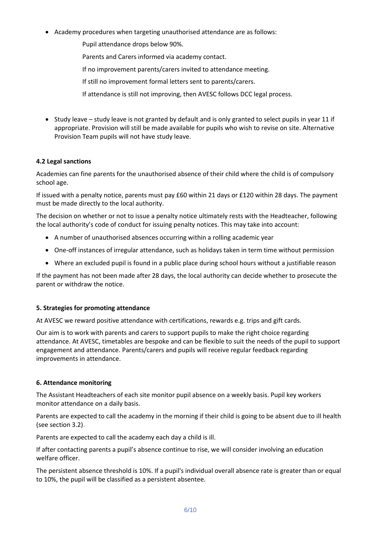- Academy procedures when targeting unauthorised attendance are as follows:
	- Pupil attendance drops below 90%.
	- Parents and Carers informed via academy contact.
	- If no improvement parents/carers invited to attendance meeting.
	- If still no improvement formal letters sent to parents/carers.
	- If attendance is still not improving, then AVESC follows DCC legal process.
- Study leave study leave is not granted by default and is only granted to select pupils in year 11 if appropriate. Provision will still be made available for pupils who wish to revise on site. Alternative Provision Team pupils will not have study leave.

## **4.2 Legal sanctions**

Academies can fine parents for the unauthorised absence of their child where the child is of compulsory school age.

If issued with a penalty notice, parents must pay £60 within 21 days or £120 within 28 days. The payment must be made directly to the local authority.

The decision on whether or not to issue a penalty notice ultimately rests with the Headteacher, following the local authority's code of conduct for issuing penalty notices. This may take into account:

- A number of unauthorised absences occurring within a rolling academic year
- One-off instances of irregular attendance, such as holidays taken in term time without permission
- Where an excluded pupil is found in a public place during school hours without a justifiable reason

If the payment has not been made after 28 days, the local authority can decide whether to prosecute the parent or withdraw the notice.

## **5. Strategies for promoting attendance**

At AVESC we reward positive attendance with certifications, rewards e.g. trips and gift cards.

Our aim is to work with parents and carers to support pupils to make the right choice regarding attendance. At AVESC, timetables are bespoke and can be flexible to suit the needs of the pupil to support engagement and attendance. Parents/carers and pupils will receive regular feedback regarding improvements in attendance.

## **6. Attendance monitoring**

The Assistant Headteachers of each site monitor pupil absence on a weekly basis. Pupil key workers monitor attendance on a daily basis.

Parents are expected to call the academy in the morning if their child is going to be absent due to ill health (see section 3.2).

Parents are expected to call the academy each day a child is ill.

If after contacting parents a pupil's absence continue to rise, we will consider involving an education welfare officer.

The persistent absence threshold is 10%. If a pupil's individual overall absence rate is greater than or equal to 10%, the pupil will be classified as a persistent absentee.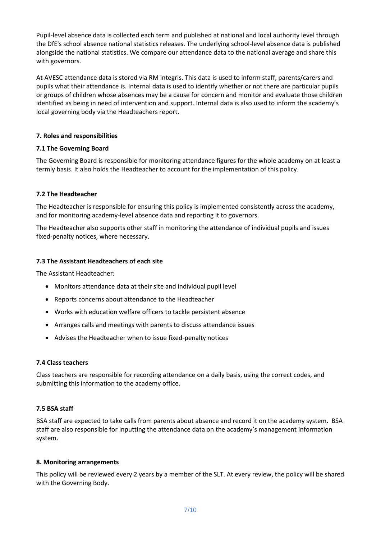Pupil-level absence data is collected each term and published at national and local authority level through the DfE's school absence national statistics releases. The underlying school-level absence data is published alongside the national statistics. We compare our attendance data to the national average and share this with governors.

At AVESC attendance data is stored via RM integris. This data is used to inform staff, parents/carers and pupils what their attendance is. Internal data is used to identify whether or not there are particular pupils or groups of children whose absences may be a cause for concern and monitor and evaluate those children identified as being in need of intervention and support. Internal data is also used to inform the academy's local governing body via the Headteachers report.

## **7. Roles and responsibilities**

## **7.1 The Governing Board**

The Governing Board is responsible for monitoring attendance figures for the whole academy on at least a termly basis. It also holds the Headteacher to account for the implementation of this policy.

## **7.2 The Headteacher**

The Headteacher is responsible for ensuring this policy is implemented consistently across the academy, and for monitoring academy-level absence data and reporting it to governors.

The Headteacher also supports other staff in monitoring the attendance of individual pupils and issues fixed-penalty notices, where necessary.

## **7.3 The Assistant Headteachers of each site**

The Assistant Headteacher:

- Monitors attendance data at their site and individual pupil level
- Reports concerns about attendance to the Headteacher
- Works with education welfare officers to tackle persistent absence
- Arranges calls and meetings with parents to discuss attendance issues
- Advises the Headteacher when to issue fixed-penalty notices

## **7.4 Class teachers**

Class teachers are responsible for recording attendance on a daily basis, using the correct codes, and submitting this information to the academy office.

## **7.5 BSA staff**

BSA staff are expected to take calls from parents about absence and record it on the academy system. BSA staff are also responsible for inputting the attendance data on the academy's management information system.

## **8. Monitoring arrangements**

This policy will be reviewed every 2 years by a member of the SLT. At every review, the policy will be shared with the Governing Body.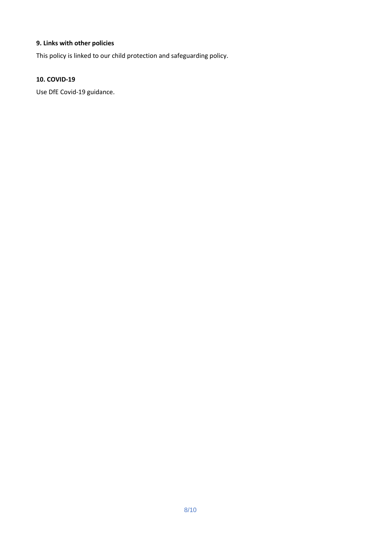## **9. Links with other policies**

This policy is linked to our child protection and safeguarding policy.

## **10. COVID-19**

Use DfE Covid-19 guidance.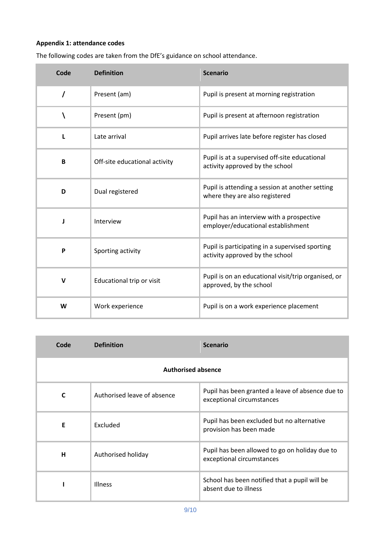## **Appendix 1: attendance codes**

| Code     | <b>Definition</b>             | <b>Scenario</b>                                                                    |
|----------|-------------------------------|------------------------------------------------------------------------------------|
| $\prime$ | Present (am)                  | Pupil is present at morning registration                                           |
| ١        | Present (pm)                  | Pupil is present at afternoon registration                                         |
| L        | Late arrival                  | Pupil arrives late before register has closed                                      |
| B        | Off-site educational activity | Pupil is at a supervised off-site educational<br>activity approved by the school   |
| D        | Dual registered               | Pupil is attending a session at another setting<br>where they are also registered  |
| J        | Interview                     | Pupil has an interview with a prospective<br>employer/educational establishment    |
| P        | Sporting activity             | Pupil is participating in a supervised sporting<br>activity approved by the school |
| V        | Educational trip or visit     | Pupil is on an educational visit/trip organised, or<br>approved, by the school     |
| W        | Work experience               | Pupil is on a work experience placement                                            |

The following codes are taken from the DfE's guidance on school attendance.

| Code                      | <b>Definition</b>           | <b>Scenario</b>                                                               |  |
|---------------------------|-----------------------------|-------------------------------------------------------------------------------|--|
| <b>Authorised absence</b> |                             |                                                                               |  |
| C                         | Authorised leave of absence | Pupil has been granted a leave of absence due to<br>exceptional circumstances |  |
| E                         | Excluded                    | Pupil has been excluded but no alternative<br>provision has been made         |  |
| Н                         | Authorised holiday          | Pupil has been allowed to go on holiday due to<br>exceptional circumstances   |  |
|                           | <b>Illness</b>              | School has been notified that a pupil will be<br>absent due to illness        |  |